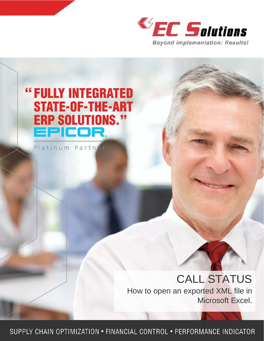



SUPPLY CHAIN OPTIMIZATION . FINANCIAL CONTROL . PERFORMANCE INDICATOR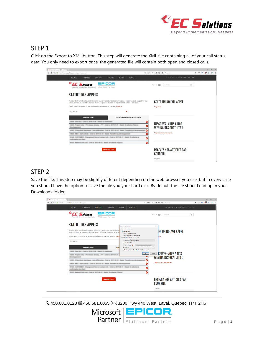

## STEP 1

Click on the Export to XML button. This step will generate the XML file containing all of your call status data. You only need to export once, the generated file will contain both open and closed calls.

| EC Statut des appels - EC Soluti X +                                                                                                                                                                                                              | $\alpha$                                               |
|---------------------------------------------------------------------------------------------------------------------------------------------------------------------------------------------------------------------------------------------------|--------------------------------------------------------|
| <sup>●</sup> → ① <i>P</i> ● https://www.e-c-solutions.com/statut-des-appels/                                                                                                                                                                      | 4 0 0 0 0<br>65<br>$\equiv$<br>凹 120% C 台 自 ① Q Search |
| BLOGUE<br>ACCUEIL<br><b>ENTREPRISE</b><br><b>SOLUTIONS</b><br><b>SERVICES</b><br><b>CONTACT</b>                                                                                                                                                   | C SUPPORT   L 450 914 3860   FR   EN                   |
| <b>EC Solutions</b><br>EPICOR.<br>Au-delà de l'implantation : des résultats!<br>Platinum Partner                                                                                                                                                  | Q<br>$G^+$ in $Q$<br>recherche                         |
| <b>STATUT DES APPELS</b>                                                                                                                                                                                                                          |                                                        |
| Par souci d'offir le meilleur service à nos clients, nous avons créé un accès dynamique avec vos demandes de support. Ici, vous<br>pouvez consulter les demandes que vous et votre équipe avez soumises au département de service à la clientèle. | <b>CRÉER UN NOUVEL APPEL</b>                           |
| Si vous désirez soumettre une nouvelle demande ou ré-ouvrir une demande, cliquer ici.                                                                                                                                                             | Cliquez icil                                           |
| ×<br>Recherche                                                                                                                                                                                                                                    |                                                        |
| Appels fermés depuis le 2016-09-27<br><b>Appels ouverts</b>                                                                                                                                                                                       |                                                        |
| 2018 - Nach Auf - Craig la: 2019; 11-28 - Natisf Str Hallaman                                                                                                                                                                                     | ◎<br><b>INSCRIVEZ-VOUS À NOS</b>                       |
| NEW - Propert entry - PE-release already _ TTT - Coat-ty 2017-01-27 - Statut, Six allerity (Figs)                                                                                                                                                 | ø<br><b>WEBINAIRES GRATUITS!</b>                       |
| 2011 - 2 Nuomberto classificante . Lotas differentian - Cotar la 1917 400 15 - Statust - Transferê au di                                                                                                                                          | $\bullet$                                              |
| 4536 MES - start activity - Crea to 1917 65-10 - Bakut Transitivit as direct                                                                                                                                                                      | Cliquez ici pour vous inscrire<br>$\ddot{\circ}$       |
| WHE CUSTOMER Changement Rook at contact left - Only to 1917 US 17 - Noted for allering de-<br>effettation du clari                                                                                                                                | $\bullet$                                              |
| 1933 - Mellerhal Unifi Lusar, Colea la . 3917-28-12 - Nadudi, Six alifanisa al'Egitora                                                                                                                                                            | $\bullet$                                              |
| <b>Exporter on XML</b>                                                                                                                                                                                                                            | RECEVEZ NOS ARTICLES PAR<br>COURRIEL<br>Courriel *     |

### STEP 2

Save the file. This step may be slightly different depending on the web browser you use, but in every case you should have the option to save the file you your hard disk. By default the file should end up in your Downloads folder.



 $\mathbf{\text{ }450.681.0123}$   $\blacksquare$  450.681.6055  $\boxtimes$  3200 Hwy 440 West, Laval, Quebec, H7T 2H6

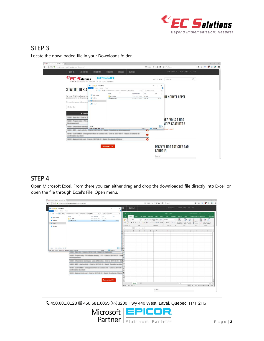

# STEP 3

Locate the downloaded file in your Downloads folder.

| FC Statut des appels - EC Salut: X +                                       |                                      |                                    |                                                         |                                 |          |                 |                                                 |                           | $\sigma$<br>$\sim$ | $\propto$  |
|----------------------------------------------------------------------------|--------------------------------------|------------------------------------|---------------------------------------------------------|---------------------------------|----------|-----------------|-------------------------------------------------|---------------------------|--------------------|------------|
| <del></del> ← OP a https://www.e-c-solutions.com/statut-des-appals/        |                                      |                                    |                                                         |                                 |          |                 | □ 120% C ☆ 自 ⊙ Q Search                         | $\bullet$ $\circ$ $\circ$ | $d^2 =$            | $\omega =$ |
| ACCUEIL<br><b>ENTREPRISE</b>                                               | <b>SOLUTIONS</b>                     | <b>SERVICES</b><br>BLOGUE          | CONTACT                                                 |                                 |          |                 | ○ SUPPORT   ↓ 450 914-3860   FR   EN            |                           |                    |            |
| <b>EC Solutions</b><br>Au-delà de l'implantation : des résultats!          | Platinum Partner                     | EPICOR.                            |                                                         |                                 |          | $G+$ in $E2$    | Q<br>recherche                                  |                           |                    |            |
|                                                                            | Downloads<br>Share<br>File<br>Home   | View                               |                                                         |                                 | -        | o<br>$\times$   |                                                 |                           |                    |            |
| <b>STATUT DES A</b>                                                        |                                      | $>$ This PC $>$                    | > Downloads<br>$\vee$ 0                                 | Search Downloads                |          | $\mathcal{P}$   |                                                 |                           |                    |            |
| Par souci d'offir le meilleur service<br>pouvez consulter les demandes qu  | * Quick access<br><b>CA</b> OneDrive | Name<br>New folder<br>CallData.cml | Date modified<br>9/27/2017 2:11 PM<br>9/27/2017 2:10 PM | Type<br>File folder<br>XML File | Size     | 169 KB          | UN NOUVEL APPEL                                 |                           |                    |            |
| Si vous désirez soumettre une nou                                          | This PC                              |                                    |                                                         |                                 |          |                 |                                                 |                           |                    |            |
| Recherche                                                                  | Network                              |                                    |                                                         |                                 |          |                 |                                                 |                           |                    |            |
| <b>Appels ou</b>                                                           |                                      |                                    |                                                         |                                 |          |                 |                                                 |                           |                    |            |
| <b>March Audi - Create lay</b><br>-                                        |                                      |                                    |                                                         |                                 |          |                 |                                                 |                           |                    |            |
| Property and Call                                                          |                                      |                                    |                                                         |                                 |          |                 | <b>VEZ-VOUS À NOS</b><br><b>NIRES GRATUITS!</b> |                           |                    |            |
|                                                                            | 2 items                              |                                    |                                                         |                                 |          | 田戸              |                                                 |                           |                    |            |
|                                                                            | 2 items (Disk free space: 370 GB)    |                                    |                                                         | 168 KB<br>$\tilde{\phantom{a}}$ | Computer |                 | <b>Ir vous inscrire</b>                         |                           |                    |            |
| SEVAN - CUNTUMER - Chargement Note at contact tole.<br>andersation du chan |                                      | CORN NO. 2017-00-                  | Statut Straterie de                                     | c                               |          |                 |                                                 |                           |                    |            |
| 113 Moterial crist coat - Crea la 2017-28-12 - Statut En allanta d'Euron   |                                      |                                    |                                                         | O                               |          |                 |                                                 |                           |                    |            |
|                                                                            |                                      | Exporter en XML                    |                                                         |                                 |          | <b>COURRIEL</b> | RECEVEZ NOS ARTICLES PAR                        |                           |                    |            |
|                                                                            |                                      |                                    |                                                         |                                 |          | Courriel *      |                                                 |                           |                    |            |

# STEP 4

Open Microsoft Excel. From there you can either drag and drop the downloaded file directly into Excel, or open the file through Excel's File, Open menu.

| Home Share View<br>- Fox           |                                                                                                                                            |                                                                              |                      | $  \times$ HI<br>$\vee$ 0 |                                                                              |                                                                                                                                                                                                                                                                                                                                                                               |                     |  |                             |               |                         |        |                                                                                                                                                                                                                                                                                                                                                                  |               |                    |
|------------------------------------|--------------------------------------------------------------------------------------------------------------------------------------------|------------------------------------------------------------------------------|----------------------|---------------------------|------------------------------------------------------------------------------|-------------------------------------------------------------------------------------------------------------------------------------------------------------------------------------------------------------------------------------------------------------------------------------------------------------------------------------------------------------------------------|---------------------|--|-----------------------------|---------------|-------------------------|--------|------------------------------------------------------------------------------------------------------------------------------------------------------------------------------------------------------------------------------------------------------------------------------------------------------------------------------------------------------------------|---------------|--------------------|
|                                    | $\cdots \rightarrow \cdots \leftarrow \clubsuit$ > This PC >                                                                               |                                                                              | v & Search Downloads | $\mathfrak{a}$            | 日 ちゃさん                                                                       |                                                                                                                                                                                                                                                                                                                                                                               |                     |  |                             | Book1 - Eacel |                         |        |                                                                                                                                                                                                                                                                                                                                                                  |               |                    |
| <b>dr</b> Quick access<br>CheDrive | Name<br>New folder<br>CaliData.xml                                                                                                         | Date modified<br>9/27/2017 2:11 PM File folder<br>9/27/2017 2:10 PM XML File | Size:<br>Type        | 169 KB                    | -File<br>高.<br>Paste                                                         | Home Insert Page Layout Formulas Data Review View Developer Add-ins Team Q Tell me what you want to do . A Share                                                                                                                                                                                                                                                              |                     |  |                             |               |                         |        | $\frac{\sum_{i=1}^{n} \sum_{i=1}^{n} \sum_{j=1}^{n} \sum_{j=1}^{n} \sum_{j=1}^{n} \sum_{j=1}^{n} \sum_{j=1}^{n} \sum_{j=1}^{n} \sum_{j=1}^{n} \sum_{j=1}^{n} \sum_{j=1}^{n} \sum_{j=1}^{n} \sum_{j=1}^{n} \sum_{j=1}^{n} \sum_{j=1}^{n} \sum_{j=1}^{n} \sum_{j=1}^{n} \sum_{j=1}^{n} \sum_{j=1}^{n} \sum_{j=1}^{n} \sum_{j=1}^{n} \sum_{j=1}^{$<br>图 Delete - 同- | Sort & Find & |                    |
| <b>E. This PC</b>                  |                                                                                                                                            |                                                                              |                      |                           | $\mathcal{M}$<br>Cipboard Ta                                                 |                                                                                                                                                                                                                                                                                                                                                                               |                     |  | Ford G Alignment G Namber G |               |                         | States | Formatting - Table - Styles - El Format - - Filter - Select -<br>/ Celts                                                                                                                                                                                                                                                                                         | Editing:      | <b>A</b>           |
| Network                            |                                                                                                                                            |                                                                              |                      |                           | A1                                                                           | $\bullet\quad \  \  \times\quad \  \  \vee\quad \  \  \, \mathcal{P} \qquad$                                                                                                                                                                                                                                                                                                  |                     |  |                             |               |                         |        |                                                                                                                                                                                                                                                                                                                                                                  |               |                    |
|                                    |                                                                                                                                            |                                                                              |                      |                           | $\overline{z}$<br>$\overline{3}$<br>$\mathbf{z}$<br>s<br>6<br>$\overline{z}$ | $A \setminus \{ \mathbf{E} \setminus \{ \mathbf{C} \} \} \subset \{ \mathbf{D} \setminus \{ \mathbf{E} \setminus \{ \mathbf{C} \} \} \subset \{ \mathbf{E} \setminus \{ \mathbf{C} \} \} \subset \{ \mathbf{H} \setminus \{ \mathbf{C} \} \subset \{ \mathbf{E} \setminus \{ \mathbf{C} \} \} \subset \{ \mathbf{M} \setminus \{ \mathbf{N} \} \setminus \{ \mathbf{C} \} \}$ |                     |  |                             |               |                         |        |                                                                                                                                                                                                                                                                                                                                                                  |               |                    |
| 2 items 1 item selected 168 KB     |                                                                                                                                            |                                                                              |                      | (字前) 20                   | $\ddot{\circ}$                                                               |                                                                                                                                                                                                                                                                                                                                                                               |                     |  |                             |               |                         |        |                                                                                                                                                                                                                                                                                                                                                                  |               |                    |
|                                    | Type: XML File, Size: 168 KB, Date modified: 9/27/2017 2:10 PM<br>1409 Project and p. PD release already , FTT - Cree to 2017 41-27 - East | Mart ALE: TOWN to WHIM IT BE Walker By High                                  | Commer<br>168 KB     |                           | 11<br>12<br>15<br>15                                                         |                                                                                                                                                                                                                                                                                                                                                                               |                     |  |                             |               |                         |        |                                                                                                                                                                                                                                                                                                                                                                  |               |                    |
|                                    | 14353 - 2 Muniterio Identiquae . (clas differentes - Crité la 2017-02-10 - Stat 17                                                         |                                                                              |                      |                           | 16                                                                           |                                                                                                                                                                                                                                                                                                                                                                               |                     |  |                             |               |                         |        |                                                                                                                                                                                                                                                                                                                                                                  |               |                    |
|                                    | 14804 - METI - start scillolic - Crear in 18117-85-10 - Ristuit - Transferit ac devic                                                      |                                                                              |                      |                           | 1R.<br>19                                                                    |                                                                                                                                                                                                                                                                                                                                                                               |                     |  |                             |               |                         |        |                                                                                                                                                                                                                                                                                                                                                                  |               |                    |
|                                    | W148 - CUSTOMER - Changement Rom at custom cols - Colar lar 3017-86<br>conferentiat de claré                                               |                                                                              |                      |                           | $20 -$<br>21<br>22.                                                          |                                                                                                                                                                                                                                                                                                                                                                               |                     |  |                             |               |                         |        |                                                                                                                                                                                                                                                                                                                                                                  |               |                    |
|                                    | WITH - Makerial Unit coal - Craig to JAY/186-13 - Nakut, Sn altarda af Epi                                                                 |                                                                              |                      |                           | 23<br>24<br>25<br>26                                                         |                                                                                                                                                                                                                                                                                                                                                                               |                     |  |                             |               |                         |        |                                                                                                                                                                                                                                                                                                                                                                  |               |                    |
|                                    |                                                                                                                                            |                                                                              | Exporter on XML      |                           | $27\,$<br>28<br>DOM: NO                                                      | Sheet1                                                                                                                                                                                                                                                                                                                                                                        | $\langle 4 \rangle$ |  |                             |               | $\vert$ $\vert$ $\vert$ |        |                                                                                                                                                                                                                                                                                                                                                                  |               | $E = \overline{E}$ |

 $\mathcal$  450.681.0123  $\blacksquare$  450.681.6055  $\boxtimes$  3200 Hwy 440 West, Laval, Quebec, H7T 2H6